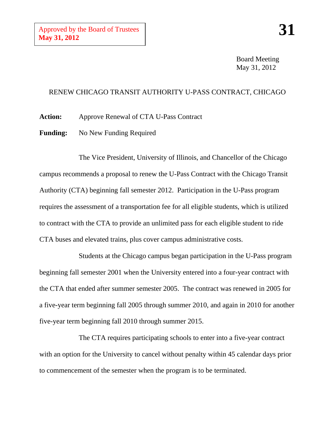Board Meeting May 31, 2012

## RENEW CHICAGO TRANSIT AUTHORITY U-PASS CONTRACT, CHICAGO

**Action:** Approve Renewal of CTA U-Pass Contract

Funding: No New Funding Required

The Vice President, University of Illinois, and Chancellor of the Chicago campus recommends a proposal to renew the U-Pass Contract with the Chicago Transit Authority (CTA) beginning fall semester 2012. Participation in the U-Pass program requires the assessment of a transportation fee for all eligible students, which is utilized to contract with the CTA to provide an unlimited pass for each eligible student to ride CTA buses and elevated trains, plus cover campus administrative costs.

Students at the Chicago campus began participation in the U-Pass program beginning fall semester 2001 when the University entered into a four-year contract with the CTA that ended after summer semester 2005. The contract was renewed in 2005 for a five-year term beginning fall 2005 through summer 2010, and again in 2010 for another five-year term beginning fall 2010 through summer 2015.

The CTA requires participating schools to enter into a five-year contract with an option for the University to cancel without penalty within 45 calendar days prior to commencement of the semester when the program is to be terminated.